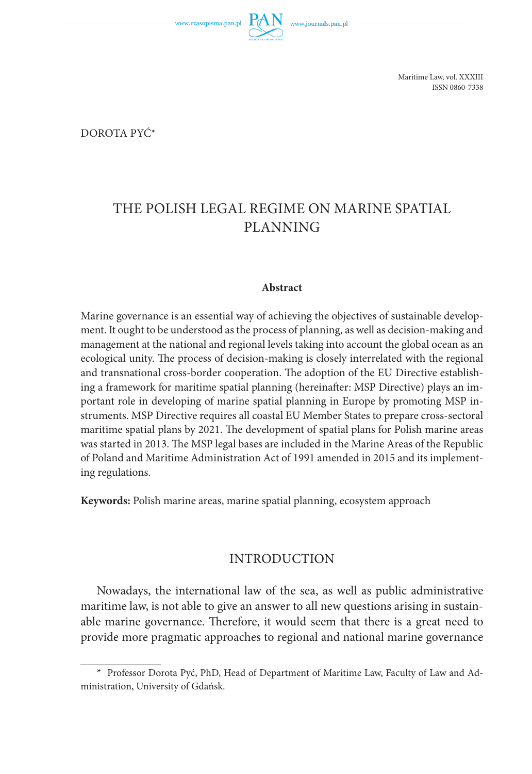www.czasopisma.pan.pl



Maritime Law, vol. XXXIII ISSN 0860-7338

Dorota Pyć\*

# THE POLISH LEGAL REGIME ON MARINE SPATIAL PLANNING

#### **Abstract**

Marine governance is an essential way of achieving the objectives of sustainable development. It ought to be understood as the process of planning, as well as decision-making and management at the national and regional levels taking into account the global ocean as an ecological unity. The process of decision-making is closely interrelated with the regional and transnational cross-border cooperation. The adoption of the EU Directive establishing a framework for maritime spatial planning (hereinafter: MSP Directive) plays an important role in developing of marine spatial planning in Europe by promoting MSP instruments. MSP Directive requires all coastal EU Member States to prepare cross-sectoral maritime spatial plans by 2021. The development of spatial plans for Polish marine areas was started in 2013. The MSP legal bases are included in the Marine Areas of the Republic of Poland and Maritime Administration Act of 1991 amended in 2015 and its implementing regulations.

**Keywords:** Polish marine areas, marine spatial planning, ecosystem approach

## INTRODUCTION

Nowadays, the international law of the sea, as well as public administrative maritime law, is not able to give an answer to all new questions arising in sustainable marine governance. Therefore, it would seem that there is a great need to provide more pragmatic approaches to regional and national marine governance

<sup>\*</sup> Professor Dorota Pyć, PhD, Head of Department of Maritime Law, Faculty of Law and Administration, University of Gdańsk.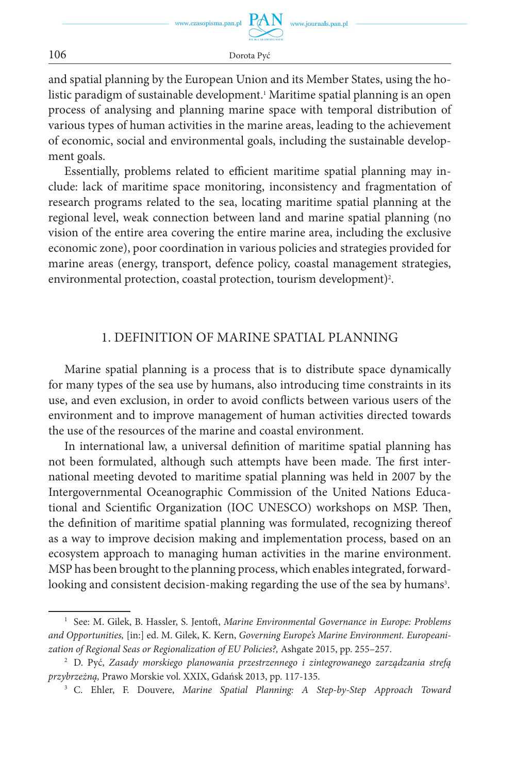www.czasopisma.pan.pl

and spatial planning by the European Union and its Member States, using the holistic paradigm of sustainable development.1 Maritime spatial planning is an open process of analysing and planning marine space with temporal distribution of various types of human activities in the marine areas, leading to the achievement of economic, social and environmental goals, including the sustainable development goals.

Essentially, problems related to efficient maritime spatial planning may include: lack of maritime space monitoring, inconsistency and fragmentation of research programs related to the sea, locating maritime spatial planning at the regional level, weak connection between land and marine spatial planning (no vision of the entire area covering the entire marine area, including the exclusive economic zone), poor coordination in various policies and strategies provided for marine areas (energy, transport, defence policy, coastal management strategies, environmental protection, coastal protection, tourism development)2 .

## 1. DEFINITION OF MARINE SPATIAL PLANNING

Marine spatial planning is a process that is to distribute space dynamically for many types of the sea use by humans, also introducing time constraints in its use, and even exclusion, in order to avoid conflicts between various users of the environment and to improve management of human activities directed towards the use of the resources of the marine and coastal environment.

In international law, a universal definition of maritime spatial planning has not been formulated, although such attempts have been made. The first international meeting devoted to maritime spatial planning was held in 2007 by the Intergovernmental Oceanographic Commission of the United Nations Educational and Scientific Organization (IOC UNESCO) workshops on MSP. Then, the definition of maritime spatial planning was formulated, recognizing thereof as a way to improve decision making and implementation process, based on an ecosystem approach to managing human activities in the marine environment. MSP has been brought to the planning process, which enables integrated, forwardlooking and consistent decision-making regarding the use of the sea by humans<sup>3</sup>.

106 Dorota Pyć

<sup>1</sup> See: M. Gilek, B. Hassler, S. Jentoft, *Marine Environmental Governance in Europe: Problems and Opportunities,* [in:] ed. M. Gilek, K. Kern, *Governing Europe's Marine Environment. Europeanization of Regional Seas or Regionalization of EU Policies?,* Ashgate 2015, pp. 255–257.

<sup>2</sup> D. Pyć, *Zasady morskiego planowania przestrzennego i zintegrowanego zarządzania strefą przybrzeżną,* Prawo Morskie vol. XXIX, Gdańsk 2013, pp. 117-135.

<sup>3</sup> C. Ehler, F. Douvere, *Marine Spatial Planning: A Step-by-Step Approach Toward*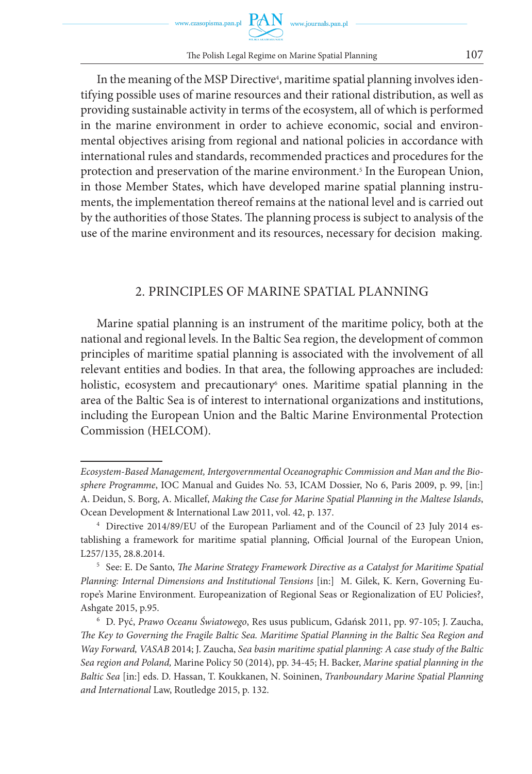In the meaning of the MSP Directive<sup>4</sup>, maritime spatial planning involves identifying possible uses of marine resources and their rational distribution, as well as providing sustainable activity in terms of the ecosystem, all of which is performed in the marine environment in order to achieve economic, social and environmental objectives arising from regional and national policies in accordance with international rules and standards, recommended practices and procedures for the protection and preservation of the marine environment.5 In the European Union, in those Member States, which have developed marine spatial planning instruments, the implementation thereof remains at the national level and is carried out by the authorities of those States. The planning process is subject to analysis of the use of the marine environment and its resources, necessary for decision making.

## 2. PRINCIPLES OF MARINE SPATIAL PLANNING

Marine spatial planning is an instrument of the maritime policy, both at the national and regional levels. In the Baltic Sea region, the development of common principles of maritime spatial planning is associated with the involvement of all relevant entities and bodies. In that area, the following approaches are included: holistic, ecosystem and precautionary<sup>6</sup> ones. Maritime spatial planning in the area of the Baltic Sea is of interest to international organizations and institutions, including the European Union and the Baltic Marine Environmental Protection Commission (HELCOM).

*Ecosystem-Based Management, Intergovernmental Oceanographic Commission and Man and the Biosphere Programme*, IOC Manual and Guides No. 53, ICAM Dossier, No 6, Paris 2009, p. 99, [in:] A. Deidun, S. Borg, A. Micallef, *Making the Case for Marine Spatial Planning in the Maltese Islands*, Ocean Development & International Law 2011, vol. 42, p. 137.

<sup>4</sup> Directive 2014/89/EU of the European Parliament and of the Council of 23 July 2014 establishing a framework for maritime spatial planning, Official Journal of the European Union, L257/135, 28.8.2014.

<sup>5</sup> See: E. De Santo, *The Marine Strategy Framework Directive as a Catalyst for Maritime Spatial Planning: Internal Dimensions and Institutional Tensions* [in:] M. Gilek, K. Kern, Governing Europe's Marine Environment. Europeanization of Regional Seas or Regionalization of EU Policies?, Ashgate 2015, p.95.

<sup>6</sup> D. Pyć, *Prawo Oceanu Światowego*, Res usus publicum, Gdańsk 2011, pp. 97-105; J. Zaucha, *The Key to Governing the Fragile Baltic Sea. Maritime Spatial Planning in the Baltic Sea Region and Way Forward, VASAB* 2014; J. Zaucha, *Sea basin maritime spatial planning: A case study of the Baltic Sea region and Poland,* Marine Policy 50 (2014), pp. 34-45; H. Backer, *Marine spatial planning in the Baltic Sea* [in:] eds. D. Hassan, T. Koukkanen, N. Soininen, *Tranboundary Marine Spatial Planning and International* Law, Routledge 2015, p. 132.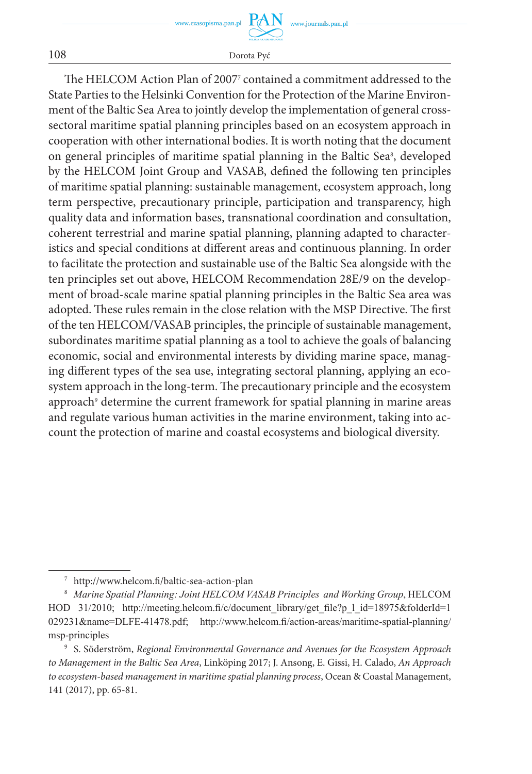The HELCOM Action Plan of 20077 contained a commitment addressed to the State Parties to the Helsinki Convention for the Protection of the Marine Environment of the Baltic Sea Area to jointly develop the implementation of general crosssectoral maritime spatial planning principles based on an ecosystem approach in cooperation with other international bodies. It is worth noting that the document on general principles of maritime spatial planning in the Baltic Sea<sup>s</sup>, developed by the HELCOM Joint Group and VASAB, defined the following ten principles of maritime spatial planning: sustainable management, ecosystem approach, long term perspective, precautionary principle, participation and transparency, high quality data and information bases, transnational coordination and consultation, coherent terrestrial and marine spatial planning, planning adapted to characteristics and special conditions at different areas and continuous planning. In order to facilitate the protection and sustainable use of the Baltic Sea alongside with the ten principles set out above, HELCOM Recommendation 28E/9 on the development of broad-scale marine spatial planning principles in the Baltic Sea area was adopted. These rules remain in the close relation with the MSP Directive. The first of the ten HELCOM/VASAB principles, the principle of sustainable management, subordinates maritime spatial planning as a tool to achieve the goals of balancing economic, social and environmental interests by dividing marine space, managing different types of the sea use, integrating sectoral planning, applying an ecosystem approach in the long-term. The precautionary principle and the ecosystem approach<sup>,</sup> determine the current framework for spatial planning in marine areas and regulate various human activities in the marine environment, taking into account the protection of marine and coastal ecosystems and biological diversity.

<sup>7</sup> http://www.helcom.fi/baltic-sea-action-plan

<sup>8</sup> *Marine Spatial Planning: Joint HELCOM VASAB Principles and Working Group*, HELCOM HOD 31/2010; http://meeting.helcom.fi/c/document\_library/get\_file?p\_1 id=18975&folderId=1 029231&name=DLFE-41478.pdf; http://www.helcom.fi/action-areas/maritime-spatial-planning/ msp-principles

<sup>9</sup> S. Söderström, *Regional Environmental Governance and Avenues for the Ecosystem Approach to Management in the Baltic Sea Area*, Linköping 2017; J. Ansong, E. Gissi, H. Calado, *An Approach to ecosystem-based management in maritime spatial planning process*, Ocean & Coastal Management, 141 (2017), pp. 65-81.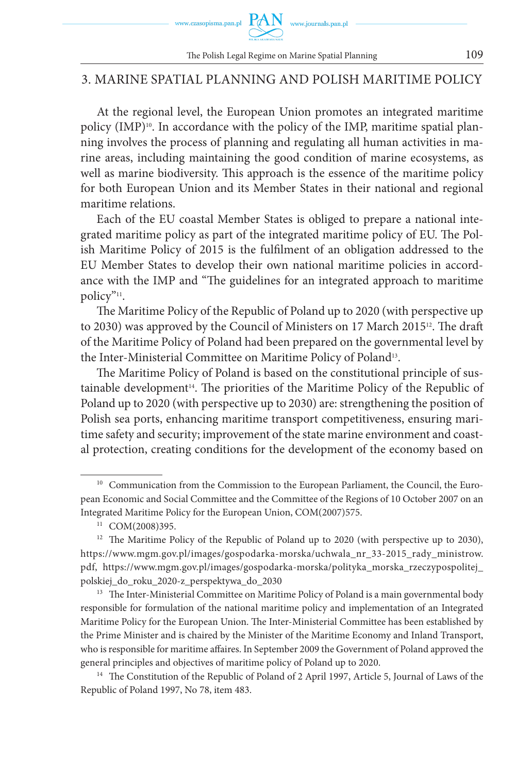

## 3. MARINE SPATIAL PLANNING AND POLISH MARITIME POLICY

At the regional level, the European Union promotes an integrated maritime policy (IMP)<sup>10</sup>. In accordance with the policy of the IMP, maritime spatial planning involves the process of planning and regulating all human activities in marine areas, including maintaining the good condition of marine ecosystems, as well as marine biodiversity. This approach is the essence of the maritime policy for both European Union and its Member States in their national and regional maritime relations.

Each of the EU coastal Member States is obliged to prepare a national integrated maritime policy as part of the integrated maritime policy of EU. The Polish Maritime Policy of 2015 is the fulfilment of an obligation addressed to the EU Member States to develop their own national maritime policies in accordance with the IMP and "The guidelines for an integrated approach to maritime policy"11.

The Maritime Policy of the Republic of Poland up to 2020 (with perspective up to 2030) was approved by the Council of Ministers on 17 March 2015<sup>12</sup>. The draft of the Maritime Policy of Poland had been prepared on the governmental level by the Inter-Ministerial Committee on Maritime Policy of Poland<sup>13</sup>.

The Maritime Policy of Poland is based on the constitutional principle of sustainable development<sup>14</sup>. The priorities of the Maritime Policy of the Republic of Poland up to 2020 (with perspective up to 2030) are: strengthening the position of Polish sea ports, enhancing maritime transport competitiveness, ensuring maritime safety and security; improvement of the state marine environment and coastal protection, creating conditions for the development of the economy based on

<sup>&</sup>lt;sup>10</sup> Communication from the Commission to the European Parliament, the Council, the European Economic and Social Committee and the Committee of the Regions of 10 October 2007 on an Integrated Maritime Policy for the European Union, COM(2007)575.

<sup>&</sup>lt;sup>11</sup> COM(2008)395.

<sup>&</sup>lt;sup>12</sup> The Maritime Policy of the Republic of Poland up to 2020 (with perspective up to 2030), https://www.mgm.gov.pl/images/gospodarka-morska/uchwala\_nr\_33-2015\_rady\_ministrow. pdf, https://www.mgm.gov.pl/images/gospodarka-morska/polityka\_morska\_rzeczypospolitej\_ polskiej\_do\_roku\_2020-z\_perspektywa\_do\_2030

<sup>&</sup>lt;sup>13</sup> The Inter-Ministerial Committee on Maritime Policy of Poland is a main governmental body responsible for formulation of the national maritime policy and implementation of an Integrated Maritime Policy for the European Union. The Inter-Ministerial Committee has been established by the Prime Minister and is chaired by the Minister of the Maritime Economy and Inland Transport, who is responsible for maritime affaires. In September 2009 the Government of Poland approved the general principles and objectives of maritime policy of Poland up to 2020.<br><sup>14</sup> The Constitution of the Republic of Poland of 2 April 1997, Article 5, Journal of Laws of the

Republic of Poland 1997, No 78, item 483.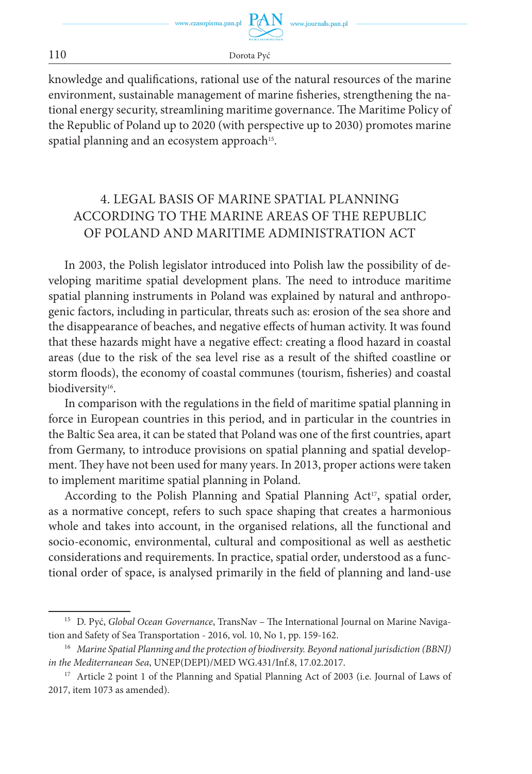knowledge and qualifications, rational use of the natural resources of the marine environment, sustainable management of marine fisheries, strengthening the national energy security, streamlining maritime governance. The Maritime Policy of the Republic of Poland up to 2020 (with perspective up to 2030) promotes marine spatial planning and an ecosystem approach<sup>15</sup>.

## 4. LEGAL BASIS OF MARINE SPATIAL PLANNING ACCORDING TO THE MARINE AREAS OF THE REPUBLIC OF POLAND AND MARITIME ADMINISTRATION ACT

In 2003, the Polish legislator introduced into Polish law the possibility of developing maritime spatial development plans. The need to introduce maritime spatial planning instruments in Poland was explained by natural and anthropogenic factors, including in particular, threats such as: erosion of the sea shore and the disappearance of beaches, and negative effects of human activity. It was found that these hazards might have a negative effect: creating a flood hazard in coastal areas (due to the risk of the sea level rise as a result of the shifted coastline or storm floods), the economy of coastal communes (tourism, fisheries) and coastal biodiversity<sup>16</sup>.

In comparison with the regulations in the field of maritime spatial planning in force in European countries in this period, and in particular in the countries in the Baltic Sea area, it can be stated that Poland was one of the first countries, apart from Germany, to introduce provisions on spatial planning and spatial development. They have not been used for many years. In 2013, proper actions were taken to implement maritime spatial planning in Poland.

According to the Polish Planning and Spatial Planning Act<sup>17</sup>, spatial order, as a normative concept, refers to such space shaping that creates a harmonious whole and takes into account, in the organised relations, all the functional and socio-economic, environmental, cultural and compositional as well as aesthetic considerations and requirements. In practice, spatial order, understood as a functional order of space, is analysed primarily in the field of planning and land-use

<sup>15</sup> D. Pyć, *Global Ocean Governance*, TransNav – The International Journal on Marine Navigation and Safety of Sea Transportation - 2016, vol. 10, No 1, pp. 159-162.

<sup>16</sup> *Marine Spatial Planning and the protection of biodiversity. Beyond national jurisdiction (BBNJ) in the Mediterranean Sea*, UNEP(DEPI)/MED WG.431/Inf.8, 17.02.2017.

<sup>&</sup>lt;sup>17</sup> Article 2 point 1 of the Planning and Spatial Planning Act of 2003 (i.e. Journal of Laws of 2017, item 1073 as amended).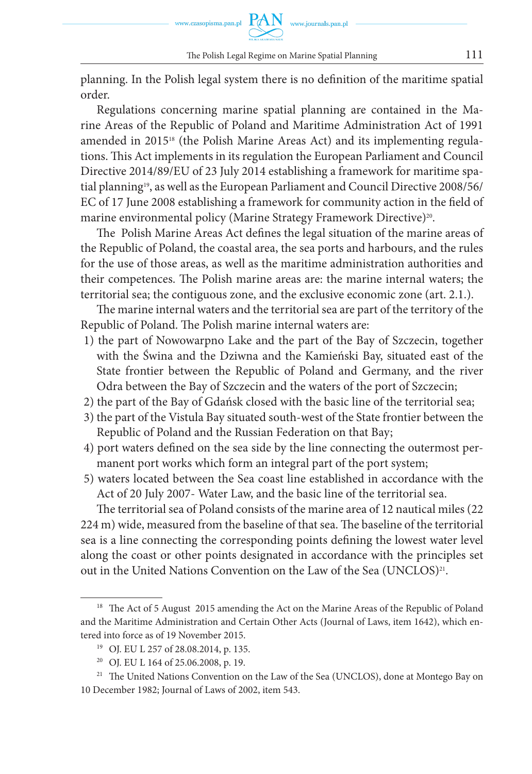planning. In the Polish legal system there is no definition of the maritime spatial order.

Regulations concerning marine spatial planning are contained in the Marine Areas of the Republic of Poland and Maritime Administration Act of 1991 amended in 2015<sup>18</sup> (the Polish Marine Areas Act) and its implementing regulations. This Act implements in its regulation the European Parliament and Council Directive 2014/89/EU of 23 July 2014 establishing a framework for maritime spatial planning<sup>19</sup>, as well as the European Parliament and Council Directive 2008/56/ EC of 17 June 2008 establishing a framework for community action in the field of marine environmental policy (Marine Strategy Framework Directive)<sup>20</sup>.

The Polish Marine Areas Act defines the legal situation of the marine areas of the Republic of Poland, the coastal area, the sea ports and harbours, and the rules for the use of those areas, as well as the maritime administration authorities and their competences. The Polish marine areas are: the marine internal waters; the territorial sea; the contiguous zone, and the exclusive economic zone (art. 2.1.).

The marine internal waters and the territorial sea are part of the territory of the Republic of Poland. The Polish marine internal waters are:

- 1) the part of Nowowarpno Lake and the part of the Bay of Szczecin, together with the Świna and the Dziwna and the Kamieński Bay, situated east of the State frontier between the Republic of Poland and Germany, and the river Odra between the Bay of Szczecin and the waters of the port of Szczecin;
- 2) the part of the Bay of Gdańsk closed with the basic line of the territorial sea;
- 3) the part of the Vistula Bay situated south-west of the State frontier between the Republic of Poland and the Russian Federation on that Bay;
- 4) port waters defined on the sea side by the line connecting the outermost permanent port works which form an integral part of the port system;
- 5) waters located between the Sea coast line established in accordance with the Act of 20 July 2007- Water Law, and the basic line of the territorial sea.

The territorial sea of Poland consists of the marine area of 12 nautical miles (22 224 m) wide, measured from the baseline of that sea. The baseline of the territorial sea is a line connecting the corresponding points defining the lowest water level along the coast or other points designated in accordance with the principles set out in the United Nations Convention on the Law of the Sea (UNCLOS)<sup>21</sup>.

<sup>&</sup>lt;sup>18</sup> The Act of 5 August 2015 amending the Act on the Marine Areas of the Republic of Poland and the Maritime Administration and Certain Other Acts (Journal of Laws, item 1642), which entered into force as of 19 November 2015.

<sup>19</sup> OJ. EU L 257 of 28.08.2014, p. 135.

<sup>20</sup> OJ. EU L 164 of 25.06.2008, p. 19.

<sup>&</sup>lt;sup>21</sup> The United Nations Convention on the Law of the Sea (UNCLOS), done at Montego Bay on 10 December 1982; Journal of Laws of 2002, item 543.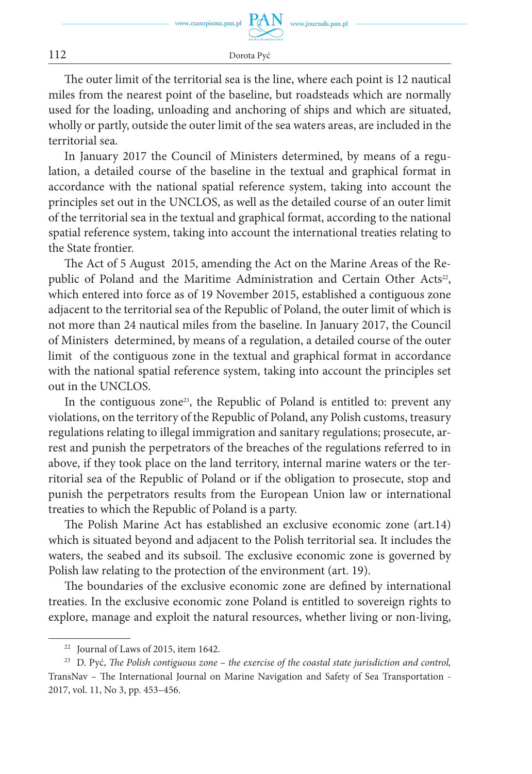The outer limit of the territorial sea is the line, where each point is 12 nautical miles from the nearest point of the baseline, but roadsteads which are normally used for the loading, unloading and anchoring of ships and which are situated, wholly or partly, outside the outer limit of the sea waters areas, are included in the territorial sea.

In January 2017 the Council of Ministers determined, by means of a regulation, a detailed course of the baseline in the textual and graphical format in accordance with the national spatial reference system, taking into account the principles set out in the UNCLOS, as well as the detailed course of an outer limit of the territorial sea in the textual and graphical format, according to the national spatial reference system, taking into account the international treaties relating to the State frontier.

The Act of 5 August 2015, amending the Act on the Marine Areas of the Republic of Poland and the Maritime Administration and Certain Other Acts<sup>22</sup>, which entered into force as of 19 November 2015, established a contiguous zone adjacent to the territorial sea of the Republic of Poland, the outer limit of which is not more than 24 nautical miles from the baseline. In January 2017, the Council of Ministers determined, by means of a regulation, a detailed course of the outer limit of the contiguous zone in the textual and graphical format in accordance with the national spatial reference system, taking into account the principles set out in the UNCLOS.

In the contiguous zone<sup>23</sup>, the Republic of Poland is entitled to: prevent any violations, on the territory of the Republic of Poland, any Polish customs, treasury regulations relating to illegal immigration and sanitary regulations; prosecute, arrest and punish the perpetrators of the breaches of the regulations referred to in above, if they took place on the land territory, internal marine waters or the territorial sea of the Republic of Poland or if the obligation to prosecute, stop and punish the perpetrators results from the European Union law or international treaties to which the Republic of Poland is a party.

The Polish Marine Act has established an exclusive economic zone (art.14) which is situated beyond and adjacent to the Polish territorial sea. It includes the waters, the seabed and its subsoil. The exclusive economic zone is governed by Polish law relating to the protection of the environment (art. 19).

The boundaries of the exclusive economic zone are defined by international treaties. In the exclusive economic zone Poland is entitled to sovereign rights to explore, manage and exploit the natural resources, whether living or non-living,

<sup>22</sup> Journal of Laws of 2015, item 1642.

<sup>23</sup> D. Pyć, *The Polish contiguous zone – the exercise of the coastal state jurisdiction and control,* TransNav – The International Journal on Marine Navigation and Safety of Sea Transportation - 2017, vol. 11, No 3, pp. 453–456.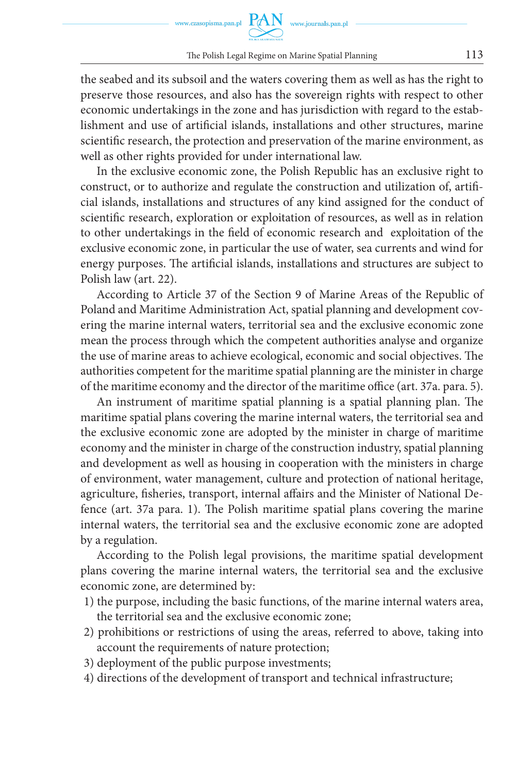the seabed and its subsoil and the waters covering them as well as has the right to preserve those resources, and also has the sovereign rights with respect to other economic undertakings in the zone and has jurisdiction with regard to the establishment and use of artificial islands, installations and other structures, marine scientific research, the protection and preservation of the marine environment, as well as other rights provided for under international law.

In the exclusive economic zone, the Polish Republic has an exclusive right to construct, or to authorize and regulate the construction and utilization of, artificial islands, installations and structures of any kind assigned for the conduct of scientific research, exploration or exploitation of resources, as well as in relation to other undertakings in the field of economic research and exploitation of the exclusive economic zone, in particular the use of water, sea currents and wind for energy purposes. The artificial islands, installations and structures are subject to Polish law (art. 22).

According to Article 37 of the Section 9 of Marine Areas of the Republic of Poland and Maritime Administration Act, spatial planning and development covering the marine internal waters, territorial sea and the exclusive economic zone mean the process through which the competent authorities analyse and organize the use of marine areas to achieve ecological, economic and social objectives. The authorities competent for the maritime spatial planning are the minister in charge of the maritime economy and the director of the maritime office (art. 37a. para. 5).

An instrument of maritime spatial planning is a spatial planning plan. The maritime spatial plans covering the marine internal waters, the territorial sea and the exclusive economic zone are adopted by the minister in charge of maritime economy and the minister in charge of the construction industry, spatial planning and development as well as housing in cooperation with the ministers in charge of environment, water management, culture and protection of national heritage, agriculture, fisheries, transport, internal affairs and the Minister of National Defence (art. 37a para. 1). The Polish maritime spatial plans covering the marine internal waters, the territorial sea and the exclusive economic zone are adopted by a regulation.

According to the Polish legal provisions, the maritime spatial development plans covering the marine internal waters, the territorial sea and the exclusive economic zone, are determined by:

- 1) the purpose, including the basic functions, of the marine internal waters area, the territorial sea and the exclusive economic zone;
- 2) prohibitions or restrictions of using the areas, referred to above, taking into account the requirements of nature protection;
- 3) deployment of the public purpose investments;
- 4) directions of the development of transport and technical infrastructure;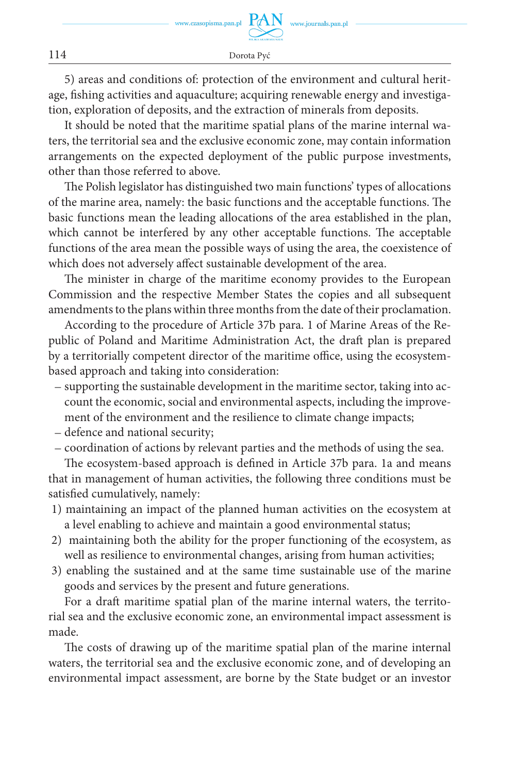5) areas and conditions of: protection of the environment and cultural heritage, fishing activities and aquaculture; acquiring renewable energy and investigation, exploration of deposits, and the extraction of minerals from deposits.

It should be noted that the maritime spatial plans of the marine internal waters, the territorial sea and the exclusive economic zone, may contain information arrangements on the expected deployment of the public purpose investments, other than those referred to above.

The Polish legislator has distinguished two main functions' types of allocations of the marine area, namely: the basic functions and the acceptable functions. The basic functions mean the leading allocations of the area established in the plan, which cannot be interfered by any other acceptable functions. The acceptable functions of the area mean the possible ways of using the area, the coexistence of which does not adversely affect sustainable development of the area.

The minister in charge of the maritime economy provides to the European Commission and the respective Member States the copies and all subsequent amendments to the plans within three months from the date of their proclamation.

According to the procedure of Article 37b para. 1 of Marine Areas of the Republic of Poland and Maritime Administration Act, the draft plan is prepared by a territorially competent director of the maritime office, using the ecosystembased approach and taking into consideration:

- supporting the sustainable development in the maritime sector, taking into account the economic, social and environmental aspects, including the improvement of the environment and the resilience to climate change impacts;
- defence and national security;
- coordination of actions by relevant parties and the methods of using the sea.

The ecosystem-based approach is defined in Article 37b para. 1a and means that in management of human activities, the following three conditions must be satisfied cumulatively, namely:

- 1) maintaining an impact of the planned human activities on the ecosystem at a level enabling to achieve and maintain a good environmental status;
- 2) maintaining both the ability for the proper functioning of the ecosystem, as well as resilience to environmental changes, arising from human activities;
- 3) enabling the sustained and at the same time sustainable use of the marine goods and services by the present and future generations.

For a draft maritime spatial plan of the marine internal waters, the territorial sea and the exclusive economic zone, an environmental impact assessment is made.

The costs of drawing up of the maritime spatial plan of the marine internal waters, the territorial sea and the exclusive economic zone, and of developing an environmental impact assessment, are borne by the State budget or an investor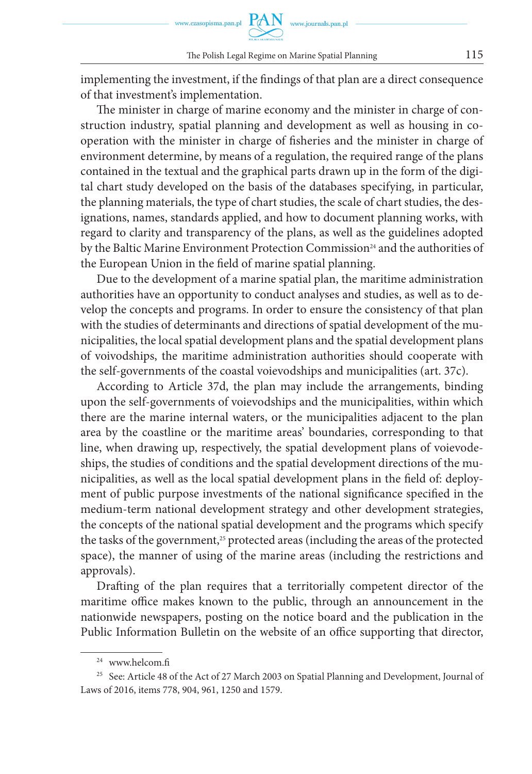implementing the investment, if the findings of that plan are a direct consequence of that investment's implementation.

The minister in charge of marine economy and the minister in charge of construction industry, spatial planning and development as well as housing in cooperation with the minister in charge of fisheries and the minister in charge of environment determine, by means of a regulation, the required range of the plans contained in the textual and the graphical parts drawn up in the form of the digital chart study developed on the basis of the databases specifying, in particular, the planning materials, the type of chart studies, the scale of chart studies, the designations, names, standards applied, and how to document planning works, with regard to clarity and transparency of the plans, as well as the guidelines adopted by the Baltic Marine Environment Protection Commission<sup>24</sup> and the authorities of the European Union in the field of marine spatial planning.

Due to the development of a marine spatial plan, the maritime administration authorities have an opportunity to conduct analyses and studies, as well as to develop the concepts and programs. In order to ensure the consistency of that plan with the studies of determinants and directions of spatial development of the municipalities, the local spatial development plans and the spatial development plans of voivodships, the maritime administration authorities should cooperate with the self-governments of the coastal voievodships and municipalities (art. 37c).

According to Article 37d, the plan may include the arrangements, binding upon the self-governments of voievodships and the municipalities, within which there are the marine internal waters, or the municipalities adjacent to the plan area by the coastline or the maritime areas' boundaries, corresponding to that line, when drawing up, respectively, the spatial development plans of voievodeships, the studies of conditions and the spatial development directions of the municipalities, as well as the local spatial development plans in the field of: deployment of public purpose investments of the national significance specified in the medium-term national development strategy and other development strategies, the concepts of the national spatial development and the programs which specify the tasks of the government,<sup>25</sup> protected areas (including the areas of the protected space), the manner of using of the marine areas (including the restrictions and approvals).

Drafting of the plan requires that a territorially competent director of the maritime office makes known to the public, through an announcement in the nationwide newspapers, posting on the notice board and the publication in the Public Information Bulletin on the website of an office supporting that director,

 $24$  www.helcom.fi

<sup>&</sup>lt;sup>25</sup> See: Article 48 of the Act of 27 March 2003 on Spatial Planning and Development, Journal of Laws of 2016, items 778, 904, 961, 1250 and 1579.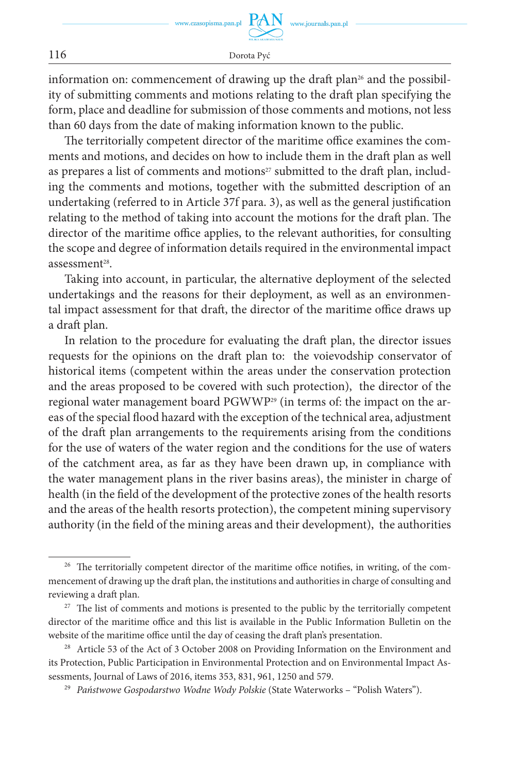information on: commencement of drawing up the draft plan<sup>26</sup> and the possibility of submitting comments and motions relating to the draft plan specifying the form, place and deadline for submission of those comments and motions, not less than 60 days from the date of making information known to the public.

The territorially competent director of the maritime office examines the comments and motions, and decides on how to include them in the draft plan as well as prepares a list of comments and motions<sup>27</sup> submitted to the draft plan, including the comments and motions, together with the submitted description of an undertaking (referred to in Article 37f para. 3), as well as the general justification relating to the method of taking into account the motions for the draft plan. The director of the maritime office applies, to the relevant authorities, for consulting the scope and degree of information details required in the environmental impact assessment<sup>28</sup>.

Taking into account, in particular, the alternative deployment of the selected undertakings and the reasons for their deployment, as well as an environmental impact assessment for that draft, the director of the maritime office draws up a draft plan.

In relation to the procedure for evaluating the draft plan, the director issues requests for the opinions on the draft plan to: the voievodship conservator of historical items (competent within the areas under the conservation protection and the areas proposed to be covered with such protection), the director of the regional water management board PGWWP<sup>29</sup> (in terms of: the impact on the areas of the special flood hazard with the exception of the technical area, adjustment of the draft plan arrangements to the requirements arising from the conditions for the use of waters of the water region and the conditions for the use of waters of the catchment area, as far as they have been drawn up, in compliance with the water management plans in the river basins areas), the minister in charge of health (in the field of the development of the protective zones of the health resorts and the areas of the health resorts protection), the competent mining supervisory authority (in the field of the mining areas and their development), the authorities

<sup>&</sup>lt;sup>26</sup> The territorially competent director of the maritime office notifies, in writing, of the commencement of drawing up the draft plan, the institutions and authorities in charge of consulting and reviewing a draft plan.

 $27$  The list of comments and motions is presented to the public by the territorially competent director of the maritime office and this list is available in the Public Information Bulletin on the website of the maritime office until the day of ceasing the draft plan's presentation.

<sup>&</sup>lt;sup>28</sup> Article 53 of the Act of 3 October 2008 on Providing Information on the Environment and its Protection, Public Participation in Environmental Protection and on Environmental Impact Assessments, Journal of Laws of 2016, items 353, 831, 961, 1250 and 579.

<sup>29</sup> *Państwowe Gospodarstwo Wodne Wody Polskie* (State Waterworks – "Polish Waters").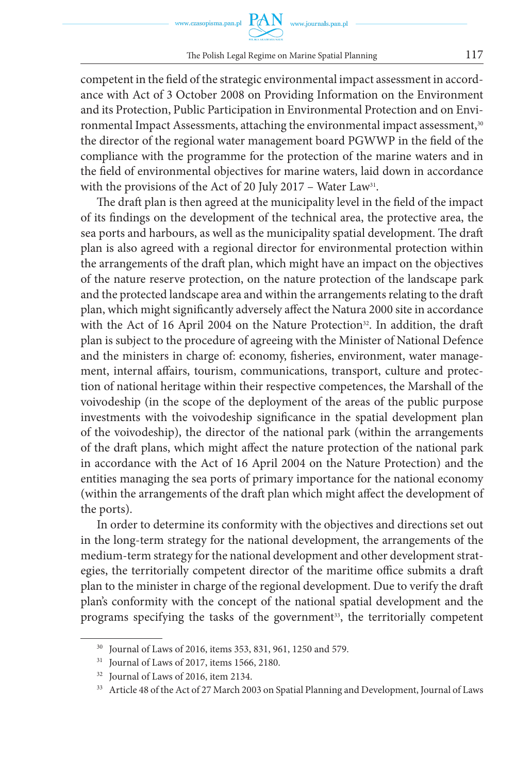competent in the field of the strategic environmental impact assessment in accordance with Act of 3 October 2008 on Providing Information on the Environment and its Protection, Public Participation in Environmental Protection and on Environmental Impact Assessments, attaching the environmental impact assessment,<sup>30</sup> the director of the regional water management board PGWWP in the field of the compliance with the programme for the protection of the marine waters and in the field of environmental objectives for marine waters, laid down in accordance with the provisions of the Act of 20 July 2017 - Water Law<sup>31</sup>.

The draft plan is then agreed at the municipality level in the field of the impact of its findings on the development of the technical area, the protective area, the sea ports and harbours, as well as the municipality spatial development. The draft plan is also agreed with a regional director for environmental protection within the arrangements of the draft plan, which might have an impact on the objectives of the nature reserve protection, on the nature protection of the landscape park and the protected landscape area and within the arrangements relating to the draft plan, which might significantly adversely affect the Natura 2000 site in accordance with the Act of 16 April 2004 on the Nature Protection<sup>32</sup>. In addition, the draft plan is subject to the procedure of agreeing with the Minister of National Defence and the ministers in charge of: economy, fisheries, environment, water management, internal affairs, tourism, communications, transport, culture and protection of national heritage within their respective competences, the Marshall of the voivodeship (in the scope of the deployment of the areas of the public purpose investments with the voivodeship significance in the spatial development plan of the voivodeship), the director of the national park (within the arrangements of the draft plans, which might affect the nature protection of the national park in accordance with the Act of 16 April 2004 on the Nature Protection) and the entities managing the sea ports of primary importance for the national economy (within the arrangements of the draft plan which might affect the development of the ports).

In order to determine its conformity with the objectives and directions set out in the long-term strategy for the national development, the arrangements of the medium-term strategy for the national development and other development strategies, the territorially competent director of the maritime office submits a draft plan to the minister in charge of the regional development. Due to verify the draft plan's conformity with the concept of the national spatial development and the programs specifying the tasks of the government<sup>33</sup>, the territorially competent

<sup>30</sup> Journal of Laws of 2016, items 353, 831, 961, 1250 and 579.

<sup>&</sup>lt;sup>31</sup> Journal of Laws of 2017, items 1566, 2180.

<sup>32</sup> Journal of Laws of 2016, item 2134.

<sup>&</sup>lt;sup>33</sup> Article 48 of the Act of 27 March 2003 on Spatial Planning and Development, Journal of Laws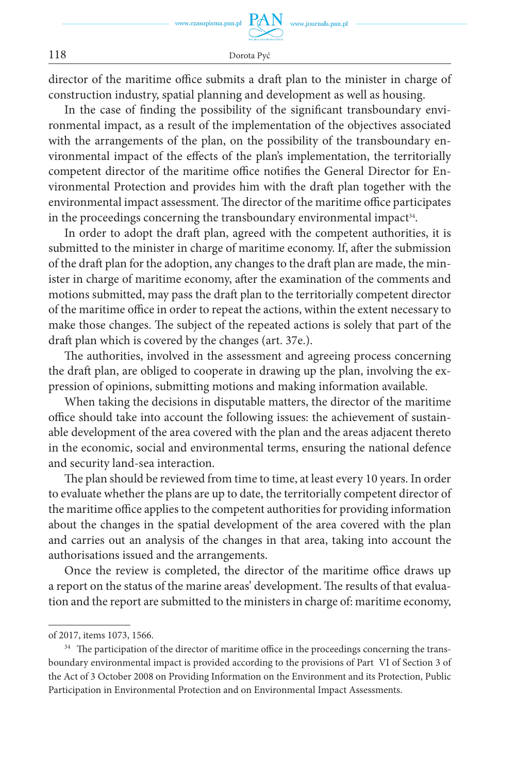director of the maritime office submits a draft plan to the minister in charge of construction industry, spatial planning and development as well as housing.

In the case of finding the possibility of the significant transboundary environmental impact, as a result of the implementation of the objectives associated with the arrangements of the plan, on the possibility of the transboundary environmental impact of the effects of the plan's implementation, the territorially competent director of the maritime office notifies the General Director for Environmental Protection and provides him with the draft plan together with the environmental impact assessment. The director of the maritime office participates in the proceedings concerning the transboundary environmental impact<sup>34</sup>.

In order to adopt the draft plan, agreed with the competent authorities, it is submitted to the minister in charge of maritime economy. If, after the submission of the draft plan for the adoption, any changes to the draft plan are made, the minister in charge of maritime economy, after the examination of the comments and motions submitted, may pass the draft plan to the territorially competent director of the maritime office in order to repeat the actions, within the extent necessary to make those changes. The subject of the repeated actions is solely that part of the draft plan which is covered by the changes (art. 37e.).

The authorities, involved in the assessment and agreeing process concerning the draft plan, are obliged to cooperate in drawing up the plan, involving the expression of opinions, submitting motions and making information available.

When taking the decisions in disputable matters, the director of the maritime office should take into account the following issues: the achievement of sustainable development of the area covered with the plan and the areas adjacent thereto in the economic, social and environmental terms, ensuring the national defence and security land-sea interaction.

The plan should be reviewed from time to time, at least every 10 years. In order to evaluate whether the plans are up to date, the territorially competent director of the maritime office applies to the competent authorities for providing information about the changes in the spatial development of the area covered with the plan and carries out an analysis of the changes in that area, taking into account the authorisations issued and the arrangements.

Once the review is completed, the director of the maritime office draws up a report on the status of the marine areas' development. The results of that evaluation and the report are submitted to the ministers in charge of: maritime economy,

of 2017, items 1073, 1566.

<sup>&</sup>lt;sup>34</sup> The participation of the director of maritime office in the proceedings concerning the transboundary environmental impact is provided according to the provisions of Part VI of Section 3 of the Act of 3 October 2008 on Providing Information on the Environment and its Protection, Public Participation in Environmental Protection and on Environmental Impact Assessments.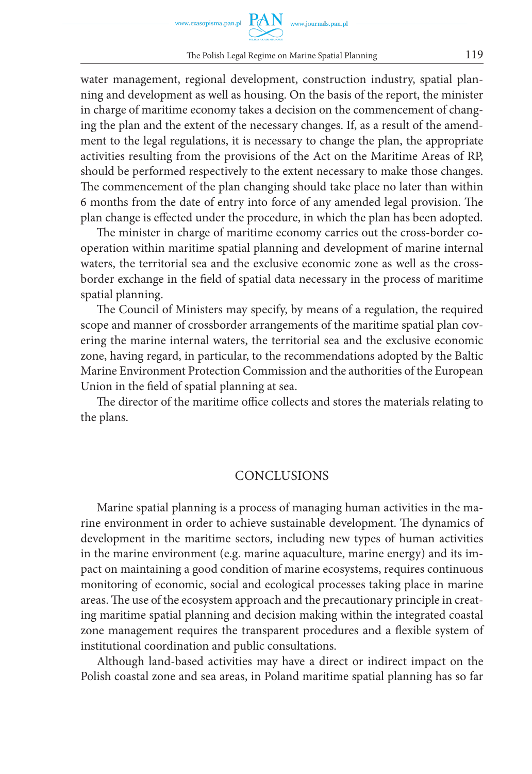water management, regional development, construction industry, spatial planning and development as well as housing. On the basis of the report, the minister in charge of maritime economy takes a decision on the commencement of changing the plan and the extent of the necessary changes. If, as a result of the amendment to the legal regulations, it is necessary to change the plan, the appropriate activities resulting from the provisions of the Act on the Maritime Areas of RP, should be performed respectively to the extent necessary to make those changes. The commencement of the plan changing should take place no later than within 6 months from the date of entry into force of any amended legal provision. The plan change is effected under the procedure, in which the plan has been adopted.

The minister in charge of maritime economy carries out the cross-border cooperation within maritime spatial planning and development of marine internal waters, the territorial sea and the exclusive economic zone as well as the crossborder exchange in the field of spatial data necessary in the process of maritime spatial planning.

The Council of Ministers may specify, by means of a regulation, the required scope and manner of crossborder arrangements of the maritime spatial plan covering the marine internal waters, the territorial sea and the exclusive economic zone, having regard, in particular, to the recommendations adopted by the Baltic Marine Environment Protection Commission and the authorities of the European Union in the field of spatial planning at sea.

The director of the maritime office collects and stores the materials relating to the plans.

#### **CONCLUSIONS**

Marine spatial planning is a process of managing human activities in the marine environment in order to achieve sustainable development. The dynamics of development in the maritime sectors, including new types of human activities in the marine environment (e.g. marine aquaculture, marine energy) and its impact on maintaining a good condition of marine ecosystems, requires continuous monitoring of economic, social and ecological processes taking place in marine areas. The use of the ecosystem approach and the precautionary principle in creating maritime spatial planning and decision making within the integrated coastal zone management requires the transparent procedures and a flexible system of institutional coordination and public consultations.

Although land-based activities may have a direct or indirect impact on the Polish coastal zone and sea areas, in Poland maritime spatial planning has so far